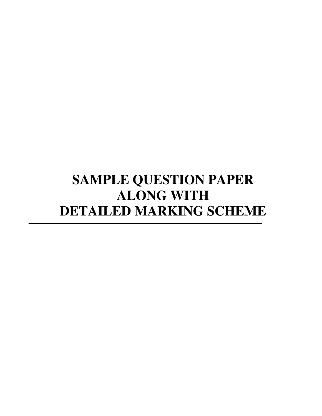# **SAMPLE QUESTION PAPER ALONG WITH DETAILED MARKING SCHEME**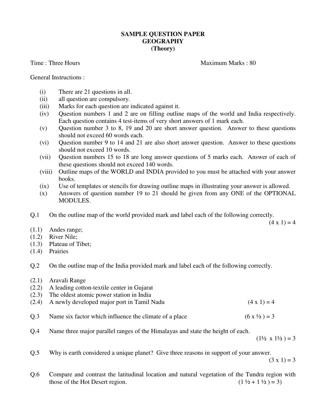# **SAMPLE QUESTION PAPER GEOGRAPHY (Theory)**

Time : Three Hours Maximum Marks : 80

General Instructions :

- (i) There are 21 questions in all.
- (ii) all question are compulsory.
- (iii) Marks for each question are indicated against it.
- (iv) Question numbers 1 and 2 are on filling outline maps of the world and India respectively. Each question contains 4 test-items of very short answers of 1 mark each.
- (v) Question number 3 to 8, 19 and 20 are short answer question. Answer to these questions should not exceed 60 words each.
- (vi) Question number 9 to 14 and 21 are also short answer question. Answer to these questions should not exceed 10 words.
- (vii) Question numbers 15 to 18 are long answer questions of 5 marks each. Answer of each of these questions should not exceed 140 words.
- (viii) Outline maps of the WORLD and INDIA provided to you must be attached with your answer books.
- (ix) Use of templates or stencils for drawing outline maps in illustrating your answer is allowed.
- (x) Answers of question number 19 to 21 should be given from any ONE of the OPTIONAL MODULES.
- Q.1 On the outline map of the world provided mark and label each of the following correctly.

 $(4 \times 1) = 4$ 

- (1.1) Andes range;
- (1.2) River Nile;
- (1.3) Plateau of Tibet;
- (1.4) Prairies
- Q.2 On the outline map of the India provided mark and label each of the following correctly.
- (2.1) Aravali Range
- (2.2) A leading cotton-textile center in Gujarat
- (2.3) The oldest atomic power station in India
- (2.4) A newly developed major port in Tamil Nadu  $(4 \times 1) = 4$
- Q.3 Name six factor which influence the climate of a place  $(6 \times \frac{1}{2}) = 3$
- Q.4 Name three major parallel ranges of the Himalayas and state the height of each.

 $(1\frac{1}{2} \times 1\frac{1}{2}) = 3$ 

Q.5 Why is earth considered a unique planet? Give three reasons in support of your answer.

 $(3 \times 1) = 3$ 

Q.6 Compare and contrast the latitudinal location and natural vegetation of the Tundra region with those of the Hot Desert region. (1  $\frac{1}{2} + 1\frac{1}{2} = 3$ )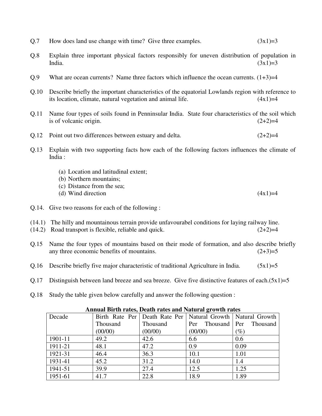- Q.7 How does land use change with time? Give three examples.  $(3x1)=3$
- Q.8 Explain three important physical factors responsibly for uneven distribution of population in India.  $(3x1)=3$
- $Q.9$  What are ocean currents? Name three factors which influence the ocean currents.  $(1+3)=4$
- Q.10 Describe briefly the important characteristics of the equatorial Lowlands region with reference to its location, climate, natural vegetation and animal life.  $(4x1)=4$
- Q.11 Name four types of soils found in Penninsular India. State four characteristics of the soil which is of volcanic origin.  $(2+2)=4$
- Q.12 Point out two differences between estuary and delta.  $(2+2)=4$
- Q.13 Explain with two supporting facts how each of the following factors influences the climate of India :
	- (a) Location and latitudinal extent;
	- (b) Northern mountains;
	- (c) Distance from the sea;
	- (d) Wind direction  $(4x1)=4$
- Q.14. Give two reasons for each of the following :
- (14.1) The hilly and mountainous terrain provide unfavourabel conditions for laying railway line.
- $(14.2)$  Road transport is flexible, reliable and quick.  $(2+2)=4$
- Q.15 Name the four types of mountains based on their mode of formation, and also describe briefly any three economic benefits of mountains.  $(2+3)=5$
- Q.16 Describe briefly five major characteristic of traditional Agriculture in India.  $(5x1)=5$
- Q.17 Distinguish between land breeze and sea breeze. Give five distinctive features of each. $(5x1)=5$
- Q.18 Study the table given below carefully and answer the following question :

| <b>Annual Birth rates, Death rates and Natural growth rates</b> |                 |          |                                                                   |          |  |  |
|-----------------------------------------------------------------|-----------------|----------|-------------------------------------------------------------------|----------|--|--|
| Decade                                                          |                 |          | Birth Rate Per   Death Rate Per   Natural Growth   Natural Growth |          |  |  |
|                                                                 | <b>Thousand</b> | Thousand | Thousand   Per<br>Per                                             | Thousand |  |  |
|                                                                 | (00/00)         | (00/00)  | (00/00)                                                           | $(\%)$   |  |  |
| 1901-11                                                         | 49.2            | 42.6     | 6.6                                                               | 0.6      |  |  |
| 1911-21                                                         | 48.1            | 47.2     | 0.9                                                               | 0.09     |  |  |
| 1921-31                                                         | 46.4            | 36.3     | 10.1                                                              | 1.01     |  |  |
| 1931-41                                                         | 45.2            | 31.2     | 14.0                                                              | 1.4      |  |  |
| 1941-51                                                         | 39.9            | 27.4     | 12.5                                                              | 1.25     |  |  |
| 1951-61                                                         | 41.7            | 22.8     | 18.9                                                              | 1.89     |  |  |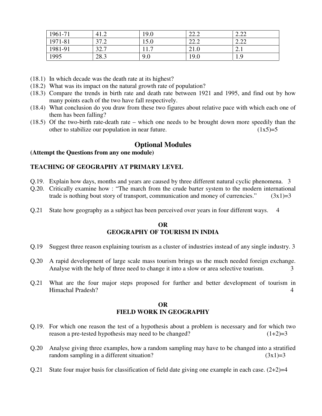| 1961-71 | 41.2 | 19.0     | ററ റ<br>44.4 | $\Omega$ |
|---------|------|----------|--------------|----------|
| 1971-81 | 37.2 | 15.0     | ററ റ<br>44.4 | റ ററ     |
| 1981-91 | 32.7 | 117<br>. | 21.0         | 2. l     |
| 1995    | 28.3 | 9.0      | 19.0         | 1.9      |

- (18.1) In which decade was the death rate at its highest?
- (18.2) What was its impact on the natural growth rate of population?
- (18.3) Compare the trends in birth rate and death rate between 1921 and 1995, and find out by how many points each of the two have fall respectively.
- (18.4) What conclusion do you draw from these two figures about relative pace with which each one of them has been falling?
- (18.5) Of the two-birth rate-death rate which one needs to be brought down more speedily than the other to stabilize our population in near future.  $(1x5)=5$

# **Optional Modules**

#### **(Attempt the Questions from any one module)**

## **TEACHING OF GEOGRAPHY AT PRIMARY LEVEL**

- Q.19. Explain how days, months and years are caused by three different natural cyclic phenomena. 3
- Q.20. Critically examine how : "The march from the crude barter system to the modern international trade is nothing bout story of transport, communication and money of currencies."  $(3x1)=3$
- Q.21 State how geography as a subject has been perceived over years in four different ways. 4

# **OR GEOGRAPHY OF TOURISM IN INDIA**

- Q.19 Suggest three reason explaining tourism as a cluster of industries instead of any single industry. 3
- Q.20 A rapid development of large scale mass tourism brings us the much needed foreign exchange. Analyse with the help of three need to change it into a slow or area selective tourism. 3
- Q.21 What are the four major steps proposed for further and better development of tourism in Himachal Pradesh? 4

# **OR FIELD WORK IN GEOGRAPHY**

- Q.19. For which one reason the test of a hypothesis about a problem is necessary and for which two reason a pre-tested hypothesis may need to be changed?  $(1+2)=3$
- Q.20 Analyse giving three examples, how a random sampling may have to be changed into a stratified random sampling in a different situation?  $(3x1)=3$
- Q.21 State four major basis for classification of field date giving one example in each case.  $(2+2)=4$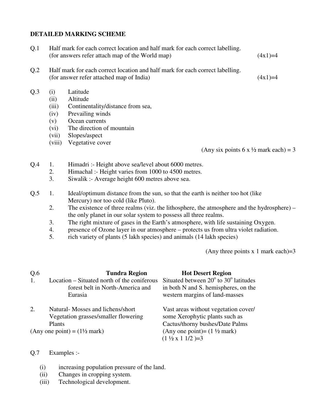## **DETAILED MARKING SCHEME**

| Q <sub>1</sub>  |                                     | Half mark for each correct location and half mark for each correct labelling.<br>(for answers refer attach map of the World map) | $(4x1)=4$ |  |
|-----------------|-------------------------------------|----------------------------------------------------------------------------------------------------------------------------------|-----------|--|
| Q <sub>.2</sub> |                                     | Half mark for each correct location and half mark for each correct labelling.<br>(for answer refer attached map of India)        | $(4x1)=4$ |  |
| Q.3             | (i)<br>(ii)<br>(iii)<br>(iv)<br>(v) | Latitude<br>Altitude<br>Continentality/distance from sea,<br>Prevailing winds<br>Ocean currents                                  |           |  |

- (vi) The direction of mountain
- (vii) Slopes/aspect
- (viii) Vegetative cover

(Any six points 6 x  $\frac{1}{2}$  mark each) = 3

- Q.4 1. Himadri :- Height above sea/level about 6000 metres.
	- 2. Himachal :- Height varies from 1000 to 4500 metres.
	- 3. Siwalik :- Average height 600 metres above sea.
- Q.5 1. Ideal/optimum distance from the sun, so that the earth is neither too hot (like Mercury) nor too cold (like Pluto).
	- 2. The existence of three realms (viz. the lithosphere, the atmosphere and the hydrosphere) the only planet in our solar system to possess all three realms.
	- 3. The right mixture of gases in the Earth's atmosphere, with life sustaining Oxygen.
	- 4. presence of Ozone layer in our atmosphere protects us from ultra violet radiation.
	- 5. rich variety of plants (5 lakh species) and animals (14 lakh species)

(Any three points  $x \neq 1$  mark each)=3

| Q.6<br>1. | <b>Tundra Region</b><br>Location – Situated north of the coniferous<br>forest belt in North-America and<br>Eurasia | <b>Hot Desert Region</b><br>Situated between $20^{\circ}$ to $30^{\circ}$ latitudes<br>in both N and S. hemispheres, on the<br>western margins of land-masses |
|-----------|--------------------------------------------------------------------------------------------------------------------|---------------------------------------------------------------------------------------------------------------------------------------------------------------|
| 2.        | Natural-Mosses and lichens/short<br>Vegetation grasses/smaller flowering<br>Plants                                 | Vast areas without vegetation cover/<br>some Xerophytic plants such as<br>Cactus/thorny bushes/Date Palms                                                     |
|           | (Any one point) = $(1\frac{1}{2}$ mark)                                                                            | (Any one point) = $(1 \frac{1}{2}$ mark)<br>$(1 \frac{1}{2} \times 1 \frac{1}{2})=3$                                                                          |

## Q.7 Examples :-

- (i) increasing population pressure of the land.
- (ii) Changes in cropping system.
- (iii) Technological development.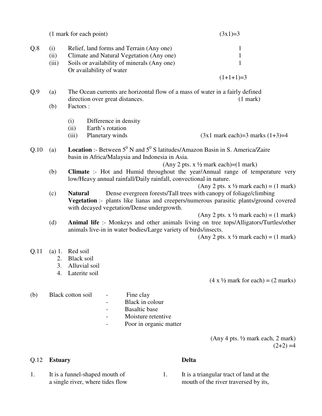|     |                      | (1 mark for each point)                                                                                                                                         | $(3x1)=3$     |
|-----|----------------------|-----------------------------------------------------------------------------------------------------------------------------------------------------------------|---------------|
| Q.8 | (i)<br>(ii)<br>(iii) | Relief, land forms and Terrain (Any one)<br>Climate and Natural Vegetation (Any one)<br>Soils or availability of minerals (Any one)<br>Or availability of water | 1             |
|     |                      |                                                                                                                                                                 | $(1+1+1)=3$   |
| Q.9 | (a)                  | The Ocean currents are horizontal flow of a mass of water in a fairly defined<br>direction over great distances.                                                | $(1$ mark $)$ |
|     | (b)                  | Factors :<br>Difference in density<br>(1)                                                                                                                       |               |

- (i) Difference in density
- (ii) Earth's rotation
- (iii) Planetary winds (3x1 mark each)=3 marks  $(1+3)=4$

# Q.10 (a) **Location** :- Between  $5^{\circ}$  N and  $5^{\circ}$  S latitudes/Amazon Basin in S. America/Zaire basin in Africa/Malaysia and Indonesia in Asia.

#### (Any 2 pts.  $x \frac{1}{2}$  mark each)=(1 mark)

(b) **Climate** :- Hot and Humid throughout the year/Annual range of temperature very low/Heavy annual rainfall/Daily rainfall, convectional in nature.

(Any 2 pts. x  $\frac{1}{2}$  mark each) = (1 mark)

(c) **Natural** Dense evergreen forests/Tall trees with canopy of foliage/climbing **Vegetation** :- plants like lianas and creepers/numerous parasitic plants/ground covered with decayed vegetation/Dense undergrowth.

(Any 2 pts. x  $\frac{1}{2}$  mark each) = (1 mark)

(d) **Animal life** :- Monkeys and other animals living on tree tops/Alligators/Turtles/other animals live-in in water bodies/Large variety of birds/insects.

(Any 2 pts. x  $\frac{1}{2}$  mark each) = (1 mark)

- Q.11 (a) 1. Red soil
	- 2. Black soil
	- 3. Alluvial soil
	- 4. Laterite soil

 $(4 \times \frac{1}{2}$  mark for each) =  $(2 \text{ marks})$ 

## (b) Black cotton soil - Fine clay

- Black in colour
- Basaltic base
- 
- Moisture retentive
- Poor in organic matter

(Any 4 pts. ½ mark each, 2 mark)  $(2+2) = 4$ 

# Q.12 **Estuary Delta**

- 
- 
- 1. It is a funnel-shaped mouth of 1. It is a triangular tract of land at the a single river, where tides flow mouth of the river traversed by its,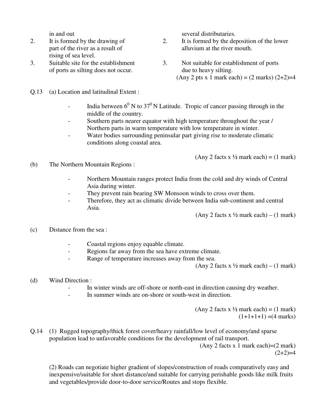- rising of sea level.
- of ports as silting does not occur. due to heavy silting.
- Q.13 (a) Location and latitudinal Extent :
	- India between  $6^0$  N to  $37^0$  N Latitude. Tropic of cancer passing through in the middle of the country.
	- Southern parts nearer equator with high temperature throughout the year / Northern parts in warm temperature with low temperature in winter.
	- Water bodies surrounding peninsular part giving rise to moderate climatic conditions along coastal area.

(Any 2 facts x  $\frac{1}{2}$  mark each) = (1 mark)

- (b) The Northern Mountain Regions :
	- Northern Mountain ranges protect India from the cold and dry winds of Central Asia during winter.
	- They prevent rain bearing SW Monsoon winds to cross over them.
	- Therefore, they act as climatic divide between India sub-continent and central Asia.

(Any 2 facts x  $\frac{1}{2}$  mark each) – (1 mark)

## (c) Distance from the sea :

- Coastal regions enjoy equable climate.
- Regions far away from the sea have extreme climate.
- Range of temperature increases away from the sea.

(Any 2 facts x  $\frac{1}{2}$  mark each) – (1 mark)

- (d) Wind Direction :
	- In winter winds are off-shore or north-east in direction causing dry weather.
	- In summer winds are on-shore or south-west in direction.

(Any 2 facts x  $\frac{1}{2}$  mark each) = (1 mark)  $(1+1+1+1) = (4 marks)$ 

# Q.14 (1) Rugged topography/thick forest cover/heavy rainfall/low level of economy/and sparse population lead to unfavorable conditions for the development of rail transport.

(Any 2 facts x 1 mark each)= $(2 \text{ mark})$  $(2+2)=4$ 

(2) Roads can negotiate higher gradient of slopes/construction of roads comparatively easy and inexpensive/suitable for short distance/and suitable for carrying perishable goods like milk fruits and vegetables/provide door-to-door service/Routes and stops flexible.

in and out several distributaries.

- 2. It is formed by the drawing of 2. It is formed by the deposition of the lower part of the river as a result of alluvium at the river mouth.
- 3. Suitable site for the establishment 3. Not suitable for establishment of ports
	- (Any 2 pts x 1 mark each) =  $(2 \text{ marks}) (2+2)=4$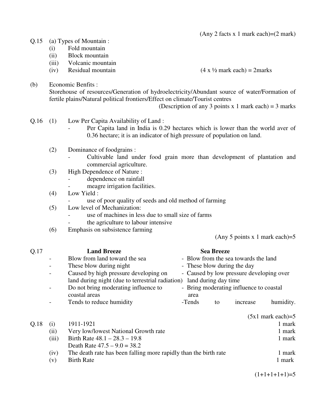(Any 2 facts x 1 mark each)=(2 mark)

#### Q.15 (a) Types of Mountain :

- (i) Fold mountain
- (ii) Block mountain
- (iii) Volcanic mountain
- (iv) Residual mountain  $(4 \times \frac{1}{2} \text{ mark each}) = 2 \text{ marks}$

(b) Economic Benfits :

Storehouse of resources/Generation of hydroelectricity/Abundant source of water/Formation of fertile plains/Natural political frontiers/Effect on climate/Tourist centres

(Description of any 3 points x 1 mark each) =  $3$  marks

- Q.16 (1) Low Per Capita Availability of Land :
	- Per Capita land in India is 0.29 hectares which is lower than the world aver of 0.36 hectare; it is an indicator of high pressure of population on land.
	- (2) Dominance of foodgrains :
		- Cultivable land under food grain more than development of plantation and commercial agriculture.
	- (3) High Dependence of Nature :
		- dependence on rainfall
		- meagre irrigation facilities.
	- (4) Low Yield :
		- use of poor quality of seeds and old method of farming
	- (5) Low level of Mechanization:
		- use of machines in less due to small size of farms
		- the agriculture to labour intensive
	- (6) Emphasis on subsistence farming

(Any 5 points x 1 mark each)= $5$ 

| Q.17 |                          | <b>Land Breeze</b>                                               |        | <b>Sea Breeze</b>    |                                          |                     |
|------|--------------------------|------------------------------------------------------------------|--------|----------------------|------------------------------------------|---------------------|
|      |                          | Blow from land toward the sea                                    |        |                      | - Blow from the sea towards the land     |                     |
|      |                          | These blow during night                                          |        |                      | - These blow during the day              |                     |
|      | Ξ.                       | Caused by high pressure developing on                            |        |                      | - Caused by low pressure developing over |                     |
|      |                          | land during night (due to terrestrial radiation)                 |        | land during day time |                                          |                     |
|      | $\overline{\phantom{0}}$ | Do not bring moderating influence to<br>coastal areas            | area   |                      | - Bring moderating influence to coastal  |                     |
|      |                          | Tends to reduce humidity                                         | -Tends | to                   | increase                                 | humidity.           |
|      |                          |                                                                  |        |                      |                                          | $(5x1$ mark each)=5 |
| Q.18 | $\left( 1 \right)$       | 1911-1921                                                        |        |                      |                                          | 1 mark              |
|      | (ii)                     | Very low/lowest National Growth rate                             |        |                      |                                          | 1 mark              |
|      | (iii)                    | Birth Rate $48.1 - 28.3 - 19.8$                                  |        |                      |                                          | 1 mark              |
|      |                          | Death Rate $47.5 - 9.0 = 38.2$                                   |        |                      |                                          |                     |
|      | (iv)                     | The death rate has been falling more rapidly than the birth rate |        |                      |                                          | 1 mark              |

(v) Birth Rate 1 mark

 $(1+1+1+1+1)=5$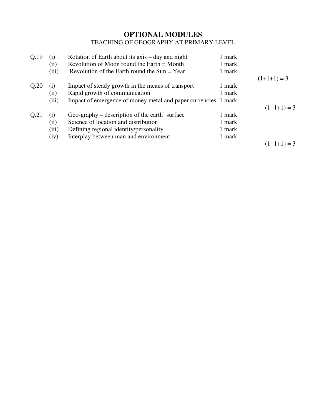# **OPTIONAL MODULES**  TEACHING OF GEOGRAPHY AT PRIMARY LEVEL

| Q.19 | (i)   | Rotation of Earth about its axis – day and night               | 1 mark |               |
|------|-------|----------------------------------------------------------------|--------|---------------|
|      | (i)   | Revolution of Moon round the Earth $=$ Month                   | 1 mark |               |
|      | (iii) | Revolution of the Earth round the Sun $=$ Year                 | 1 mark |               |
|      |       |                                                                |        | $(1+1+1) = 3$ |
| Q.20 | (i)   | Impact of steady growth in the means of transport              | 1 mark |               |
|      | (11)  | Rapid growth of communication                                  | 1 mark |               |
|      | (iii) | Impact of emergence of money metal and paper currencies 1 mark |        |               |
|      |       |                                                                |        | $(1+1+1) = 3$ |
| Q.21 | (i)   | Geo-graphy – description of the earth' surface                 | 1 mark |               |
|      | (ii)  | Science of location and distribution                           | 1 mark |               |
|      | (iii) | Defining regional identity/personality                         | 1 mark |               |
|      | (iv)  | Interplay between man and environment                          | 1 mark |               |
|      |       |                                                                |        | $(1+1+1) = 3$ |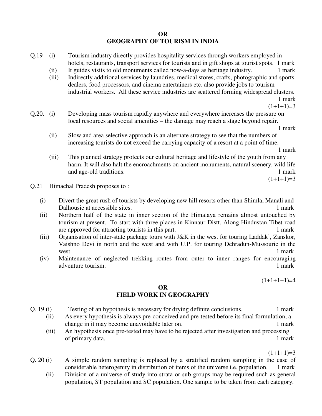## **OR GEOGRAPHY OF TOURISM IN INDIA**

- Q.19 (i) Tourism industry directly provides hospitality services through workers employed in hotels, restaurants, transport services for tourists and in gift shops at tourist spots. 1 mark
	- (ii) It guides visits to old monuments called now-a-days as heritage industry. 1 mark
	- (iii) Indirectly additional services by laundries, medical stores, crafts, photographic and sports dealers, food processors, and cinema entertainers etc. also provide jobs to tourism industrial workers. All these service industries are scattered forming widespread clusters.

1 mark

 $(1+1+1)=3$ 

Q.20. (i) Developing mass tourism rapidly anywhere and everywhere increases the pressure on local resources and social amenities – the damage may reach a stage beyond repair.

1 mark

(ii) Slow and area selective approach is an alternate strategy to see that the numbers of increasing tourists do not exceed the carrying capacity of a resort at a point of time.

1 mark

(iii) This planned strategy protects our cultural heritage and lifestyle of the youth from any harm. It will also halt the encroachments on ancient monuments, natural scenery, wild life and age-old traditions. The same state of the same state of the same state of the same state of the same state of the same state of the same state of the same state of the same state of the same state of the same state of

 $(1+1+1)=3$ 

- Q.21 Himachal Pradesh proposes to :
	- (i) Divert the great rush of tourists by developing new hill resorts other than Shimla, Manali and Dalhousie at accessible sites.
	- (ii) Northern half of the state in inner section of the Himalaya remains almost untouched by tourism at present. To start with three places in Kinnaur Distt. Along Hindustan-Tibet road are approved for attracting tourists in this part. 1 mark
	- (iii) Organisation of inter-state package tours with J&K in the west for touring Laddak', Zanskor, Vaishno Devi in north and the west and with U.P. for touring Dehradun-Mussourie in the west. 1 mark
	- (iv) Maintenance of neglected trekking routes from outer to inner ranges for encouraging adventure tourism. 1 mark

 $(1+1+1+1)=4$ 

#### **OR FIELD WORK IN GEOGRAPHY**

- Q. 19 (i) Testing of an hypothesis is necessary for drying definite conclusions. 1 mark
	- (ii) As every hypothesis is always pre-conceived and pre-tested before its final formulation, a change in it may become unavoidable later on. 1 mark
	- (iii) An hypothesis once pre-tested may have to be rejected after investigation and processing of primary data. 1 mark

 $(1+1+1)=3$ 

- Q. 20 (i) A simple random sampling is replaced by a stratified random sampling in the case of considerable heterogenity in distribution of items of the universe i.e. population. 1 mark
	- (ii) Division of a universe of study into strata or sub-groups may be required such as general population, ST population and SC population. One sample to be taken from each category.